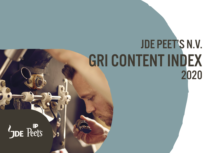## JDE PEET'S N.V. GRI CONTENT INDEX 2020

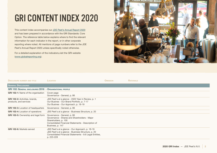## GRI CONTENT INDEX 2020

This content index accompanies our [JDE Peet's Annual Report 2020](https://www.jdepeets.com/siteassets/documents/jde-peets-annual-report-2020.pdf) and has been prepared in accordance with the GRI Standards: Core Option. The reference table below explains where to find the relevant information for each indicator in the report, or in other corporate reporting where noted. All mentions of page numbers refer to the JDE Peet's Annual Report 2020 unless specifically noted otherwise.

For a detailed explanation of the indicators,visit the GRI website [\(www.globalreporting.org](http://www.globalreporting.org)).



| <b>DISCLOSURE NUMBER AND TITLE</b>                                | LOCATION                                                                                                                                                                       | <b>OMISSION</b> | <b>RATIONALE</b> |
|-------------------------------------------------------------------|--------------------------------------------------------------------------------------------------------------------------------------------------------------------------------|-----------------|------------------|
| <b>GENERAL DISCLOSURES</b>                                        |                                                                                                                                                                                |                 |                  |
| <b>GRI 102: GENERAL DISCLOSURES 2016 - ORGANISATIONAL PROFILE</b> |                                                                                                                                                                                |                 |                  |
| <b>GRI 102-1:</b> Name of the organisation                        | Cover page<br>Governance - General, p. 86                                                                                                                                      |                 |                  |
| <b>GRI 102-2: Activities, brands,</b><br>products, and services   | JDE Peet's at a glance - 2020 Year in Review, p. 1<br>Our Busines - Our Brand Portfolio, p. 7-17<br>Our Busines - Our Approach, p. 18-19                                       |                 |                  |
| <b>GRI 102-3: Location of headquarters</b>                        | Governance - General, p. 86                                                                                                                                                    |                 |                  |
| <b>GRI 102-4:</b> Location of operations                          | JDE Peet's at a glance - Business Structure, p. 20                                                                                                                             |                 |                  |
| <b>GRI 102-5:</b> Ownership and legal form                        | Governance - General, p. 86<br>Governance - Shares and Shareholders - Major<br>Shareholders, p. 100<br>Consolidated Financial Statements - Description of<br>Business, p. 147  |                 |                  |
| <b>GRI 102-6: Markets served</b>                                  | JDE Peet's at a glance - Our Approach, p. 18-19<br>JDE Peet's at a glance - Business Structure, p. 20<br>Consolidated Financial Statements - 9.6 Legal Entities,<br>p. 223-228 |                 |                  |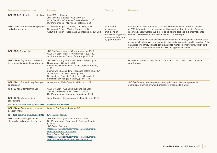| <b>DISCLOSURE NUMBER AND TITLE</b>                                          | LOCATION                                                                                                                                                                                                                                                                                                                                                 | <b>OMISSION</b>                                                                                                | <b>RATIONALE</b>                                                                                                                                                                                                                                                                                                                                                                                                                                                                                                                                                                                                                               |
|-----------------------------------------------------------------------------|----------------------------------------------------------------------------------------------------------------------------------------------------------------------------------------------------------------------------------------------------------------------------------------------------------------------------------------------------------|----------------------------------------------------------------------------------------------------------------|------------------------------------------------------------------------------------------------------------------------------------------------------------------------------------------------------------------------------------------------------------------------------------------------------------------------------------------------------------------------------------------------------------------------------------------------------------------------------------------------------------------------------------------------------------------------------------------------------------------------------------------------|
| <b>GRI 102-7:</b> Scale of the organisation                                 | Key 2020 Highlights, p. 1<br>JDE Peet's at a glance - Our Story, p. 5<br>Value Creation - Our Value Creation Model, p.28<br>Our Performance - Minimised Footprint, p. 60                                                                                                                                                                                 |                                                                                                                |                                                                                                                                                                                                                                                                                                                                                                                                                                                                                                                                                                                                                                                |
| GRI 102-8: Information on employees<br>and other workers                    | Connected People - Growing our Talent, p. 69<br>Connected People - Valuing Diversity, p. 70<br>About this Report - Scope and Boundaries, p. 251-252                                                                                                                                                                                                      | Information<br>unavailable -<br>breakdown of<br>employment type and<br>employment contract<br>by gender/region | As a results of the introduction of a new HR software (see 'About this report',<br>p. 255), information on the employment type and contract by region / gender<br>is currently not available. We expect to be able to disclose this information for<br>entities covered by the new HR software in our next report.<br>JDE Peet's does not have any significant variations in employment numbers (such<br>as seasonal variations in employment in the tourism or agricultural industries). This<br>data is reported through head count database management systems, which take<br>inputs from all the markets/countries' HR management systems. |
| GRI 102-9: Supply chain                                                     | JDE Peet's at a glance - Our Approach, p. 18-19<br>Value Creation - How We Create Value, p. 27-32<br>Our Performance - Comon Grounds, p. 46 & 49                                                                                                                                                                                                         |                                                                                                                |                                                                                                                                                                                                                                                                                                                                                                                                                                                                                                                                                                                                                                                |
| GRI 102-10: Significant changes to<br>the organisation and its supply chain | JDE Peet's at a glance - 2020 Year in Review, p. 4<br>Governance - General, p. 86<br>Shares and Shareholders - Share Capital Structure,<br>p. 99<br>Shares and Shareholders - Issuance of Shares, p. 101<br>Governance - Our Main Risks, p. 119<br><b>Consolidated Financial Statements - Consolidated</b><br>Statement of Changes in Equity, p. 144-145 |                                                                                                                | During the pandemic, very limited disruption has occurred in the company's<br>supply chain.                                                                                                                                                                                                                                                                                                                                                                                                                                                                                                                                                    |
| <b>GRI 102-11: Precautionary Principle</b><br>or approach                   | Governance - Main Operational Risks, p. 122                                                                                                                                                                                                                                                                                                              |                                                                                                                | JDE Peet's supports the precautionary principle to risk management in<br>operational planning or when bringingnew products to market.                                                                                                                                                                                                                                                                                                                                                                                                                                                                                                          |
| <b>GRI 102-12: External initiatives</b>                                     | Value Creation - Our Contribution to the UN's<br>Sustainable Development Goals, p. 38-41<br>Our Performance - Common Grounds, p. 46-59                                                                                                                                                                                                                   |                                                                                                                |                                                                                                                                                                                                                                                                                                                                                                                                                                                                                                                                                                                                                                                |
| GRI 102-13: Membership of<br>associations                                   | Value Creation - Engaging our Stakeholders, p. 33-34                                                                                                                                                                                                                                                                                                     |                                                                                                                |                                                                                                                                                                                                                                                                                                                                                                                                                                                                                                                                                                                                                                                |
| <b>GRI 102: GENERAL DISCLOSURES 2016 - STRATEGY AND ANALYSIS</b>            |                                                                                                                                                                                                                                                                                                                                                          |                                                                                                                |                                                                                                                                                                                                                                                                                                                                                                                                                                                                                                                                                                                                                                                |
| <b>GRI 102-14: Statement from senior</b><br>decision-maker                  | Letter to Our Shareholders, p. 2-3                                                                                                                                                                                                                                                                                                                       |                                                                                                                |                                                                                                                                                                                                                                                                                                                                                                                                                                                                                                                                                                                                                                                |
| <b>GRI 102: GENERAL DISCLOSURES 2016 - ETHICS AND INTEGRITY</b>             |                                                                                                                                                                                                                                                                                                                                                          |                                                                                                                |                                                                                                                                                                                                                                                                                                                                                                                                                                                                                                                                                                                                                                                |
| GRI 102-16: Values, principles,<br>standards, and norms of behavior         | JDE Peet's at a glance - Our Story, p. 5-6<br>Our Performance - Responsible Business Practices,<br>p. 77-79<br><b>JDE Code of Conduct:</b><br>https://www.jdepeets.com/siteassets/documents/<br>code-of-conduct-112020.pdf<br>Peet's Code of Conduct:<br>https://www.jdepeets.com/siteassets/documents/<br>peets-coffee-code-of-conduct-and-ethics.pdf   |                                                                                                                |                                                                                                                                                                                                                                                                                                                                                                                                                                                                                                                                                                                                                                                |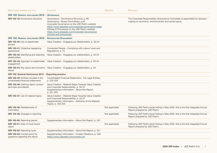| <b>DISCLOSURE NUMBER AND TITLE</b>                                               | LOCATION                                                                                                                                                                                                                                                                                                                    | <b>OMISSION</b> | <b>RATIONALE</b>                                                                                                                        |
|----------------------------------------------------------------------------------|-----------------------------------------------------------------------------------------------------------------------------------------------------------------------------------------------------------------------------------------------------------------------------------------------------------------------------|-----------------|-----------------------------------------------------------------------------------------------------------------------------------------|
| <b>GRI 102: GENERAL DISCLOSURES 2016</b>                                         | - GOVERNANCE                                                                                                                                                                                                                                                                                                                |                 |                                                                                                                                         |
| <b>GRI 102-18:</b> Governance structure                                          | Governance - Governance Structure, p. 86<br>Governance - Board Committees, p.93<br>Corporate Governance on the JDE Peet's website:<br>https://www.jdepeets.com/corporate-governance-page/<br>Policies & Procedures on the JDE Peet's website:<br>https://www.jdepeets.com/Corporate-Governance/<br>policies-and-procedures/ |                 | The Corporate Responsibility Governance Committee is responsible for decision-<br>making on economic, environmental, and social topics. |
| <b>GRI 102: GENERAL DISCLOSURES 2016 - STAKEHOLDER ENGAGEMENT</b>                |                                                                                                                                                                                                                                                                                                                             |                 |                                                                                                                                         |
| GRI 102-40: List of stakeholder<br>groups                                        | Value Creation - Engaging our Stakeholders, p. 33-34                                                                                                                                                                                                                                                                        |                 |                                                                                                                                         |
| <b>GRI 102-41: Collective bargaining</b><br>agreements                           | Connected People - Complying with Labour Laws and<br>Regulations, p. 72                                                                                                                                                                                                                                                     |                 |                                                                                                                                         |
| GRI 102-42: Identifying and selecting<br>stakeholders                            | Value Creation - Engaging our stakeholders, p. 33-34                                                                                                                                                                                                                                                                        |                 |                                                                                                                                         |
| engagement                                                                       | GRI 102-43: Approach to stakeholder Value Creation - Engaging our stakeholders, p. 33-34                                                                                                                                                                                                                                    |                 |                                                                                                                                         |
| raised                                                                           | GRI 102-44: Key topics and concerns Value Creation - Engaging our stakeholders, p. 34                                                                                                                                                                                                                                       |                 |                                                                                                                                         |
| GRI 102: General disclosures 2016 - Reporting practice                           |                                                                                                                                                                                                                                                                                                                             |                 |                                                                                                                                         |
| <b>GRI 102-45: Entities included in the</b><br>consolidated financial statements | Consolidated Financial Statements - 9.6 Legal Entities,<br>p. 223-228                                                                                                                                                                                                                                                       |                 |                                                                                                                                         |
| GRI 102-46: Defining report content<br>and topic boundaries                      | Value Creation - Material Steps Towards Value Creation<br>and Corporate Responsibility, p. 35-37<br>Supplementary Information - About this Report,<br>p. 251-255                                                                                                                                                            |                 |                                                                                                                                         |
| <b>GRI 102-47:</b> List of material topics                                       | Value Creation - Material Steps Towards Value Creation<br>and Corporate Responsibility, p. 35-37<br>Supplementary Information - Definition of the Material<br>Topics, p. 253-255                                                                                                                                            |                 |                                                                                                                                         |
| GRI 102-48: Restatements of<br>information                                       |                                                                                                                                                                                                                                                                                                                             | Not applicable  | Following JDE Peet's recent listing in May 2020, this is the first integrated Annual<br>Report prepared by JDE Peet's.                  |
| <b>GRI 102-49:</b> Changes in reporting                                          |                                                                                                                                                                                                                                                                                                                             | Not applicable  | Following JDE Peet's recent listing in May 2020, this is the first integrated Annual<br>Report prepared by JDE Peet's.                  |
| GRI 102-50: Reporting period                                                     | Supplementary Information - About this Report, p. 251                                                                                                                                                                                                                                                                       |                 |                                                                                                                                         |
| GRI 102-51: Date of most recent<br>report                                        |                                                                                                                                                                                                                                                                                                                             | Not applicable  | Following JDE Peet's recent listing in May 2020, this is the first integrated Annual<br>Report prepared by JDE Peet's.                  |
| <b>GRI 102-52: Reporting cycle</b>                                               | Supplementary Information - About this Report, p. 251                                                                                                                                                                                                                                                                       |                 |                                                                                                                                         |
| GRI 102-53: Contact point for<br>questions regarding the report                  | Supplementary Information - Investor Relations, p. 250<br>https://www.jdepeets.com/contact-us/                                                                                                                                                                                                                              |                 |                                                                                                                                         |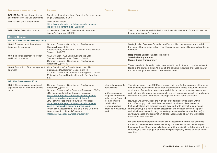| <b>DISCLOSURE NUMBER AND TITLE</b>                                                     | <b>LOCATION</b>                                                                                                                                                                                                                                                                                                                                                                                                                                                                                                                                                 | <b>OMISSION</b>                                                                                                                                                                                                | <b>RATIONALE</b>                                                                                                                                                                                                                                                                                                                                                                                                                                                                                                                                                                                                                                                                                                                                                                                                                                                                                                                                                                                                                 |
|----------------------------------------------------------------------------------------|-----------------------------------------------------------------------------------------------------------------------------------------------------------------------------------------------------------------------------------------------------------------------------------------------------------------------------------------------------------------------------------------------------------------------------------------------------------------------------------------------------------------------------------------------------------------|----------------------------------------------------------------------------------------------------------------------------------------------------------------------------------------------------------------|----------------------------------------------------------------------------------------------------------------------------------------------------------------------------------------------------------------------------------------------------------------------------------------------------------------------------------------------------------------------------------------------------------------------------------------------------------------------------------------------------------------------------------------------------------------------------------------------------------------------------------------------------------------------------------------------------------------------------------------------------------------------------------------------------------------------------------------------------------------------------------------------------------------------------------------------------------------------------------------------------------------------------------|
| <b>GRI 102-54:</b> Claims of reporting in<br>accordance with the GRI Standards         | Supplementary Information - Reporting Frameworks and<br>Legal Disclosures, p. 253                                                                                                                                                                                                                                                                                                                                                                                                                                                                               |                                                                                                                                                                                                                |                                                                                                                                                                                                                                                                                                                                                                                                                                                                                                                                                                                                                                                                                                                                                                                                                                                                                                                                                                                                                                  |
| GRI 102-55: GRI Content Index                                                          | <b>GRI Content Index:</b><br>https://www.jdepeets.com/siteassets/documents/<br>jde-peets-gri-content-index-2020.pdf                                                                                                                                                                                                                                                                                                                                                                                                                                             |                                                                                                                                                                                                                |                                                                                                                                                                                                                                                                                                                                                                                                                                                                                                                                                                                                                                                                                                                                                                                                                                                                                                                                                                                                                                  |
| <b>GRI 102-56: External assurance</b>                                                  | Consolidated Financial Statements - Independent<br>Auditor's Report, p. 239-245                                                                                                                                                                                                                                                                                                                                                                                                                                                                                 |                                                                                                                                                                                                                | The scope of assurance is limited to the financial statements. For details, see the<br>Independent Auditor's Report.                                                                                                                                                                                                                                                                                                                                                                                                                                                                                                                                                                                                                                                                                                                                                                                                                                                                                                             |
| <b>COMMON GROUNDS</b>                                                                  |                                                                                                                                                                                                                                                                                                                                                                                                                                                                                                                                                                 |                                                                                                                                                                                                                |                                                                                                                                                                                                                                                                                                                                                                                                                                                                                                                                                                                                                                                                                                                                                                                                                                                                                                                                                                                                                                  |
| <b>GRI 103: MANAGEMENT APPROACH 2016</b>                                               |                                                                                                                                                                                                                                                                                                                                                                                                                                                                                                                                                                 |                                                                                                                                                                                                                |                                                                                                                                                                                                                                                                                                                                                                                                                                                                                                                                                                                                                                                                                                                                                                                                                                                                                                                                                                                                                                  |
| <b>103-1:</b> Explanation of the material<br>topic and its boundary                    | Common Grounds - Sourcing our Raw Materials<br>Responsibly, p.46-49<br>Supplementary Information - Definition of the Material<br>Topics, p. 253-255                                                                                                                                                                                                                                                                                                                                                                                                             |                                                                                                                                                                                                                | Strategic pillar Common Grounds identifies a unified management approach for<br>the material topics listed below. (Tier 1 topics on our materiality map highlighted in<br>bold font.)                                                                                                                                                                                                                                                                                                                                                                                                                                                                                                                                                                                                                                                                                                                                                                                                                                            |
| 103-2: The Management Approach<br>and its Components                                   | Value Creation - Our Contribution to the UN's<br>Sustainable Development Goals, p. 38-41<br>Common Grounds - Sourcing our Raw Materials<br>Responsibly, p.46-49                                                                                                                                                                                                                                                                                                                                                                                                 |                                                                                                                                                                                                                | <b>Responsible Supplier Labour Practices</b><br><b>Sustainable Agriculture</b><br><b>Supply Chain Transparency</b><br>These material topis are intimately connected to each other and to other relevent                                                                                                                                                                                                                                                                                                                                                                                                                                                                                                                                                                                                                                                                                                                                                                                                                          |
| 103-3: Evaluation of the management<br>approach                                        | Value Creation - Our Contribution to the UN's<br>Sustainable Development Goals, p. 38-41<br>Common Grounds - Our Goals and Progress, p. 50-59<br>Maintaining Strong Relationships with Our Suppliers,<br>p.83                                                                                                                                                                                                                                                                                                                                                   |                                                                                                                                                                                                                | topics in the strategic pillar. As a result, the selected indicators are linked to all of<br>the material topics identified in Common Grounds.                                                                                                                                                                                                                                                                                                                                                                                                                                                                                                                                                                                                                                                                                                                                                                                                                                                                                   |
| GRI 408: CHILD LABOUR 2016                                                             |                                                                                                                                                                                                                                                                                                                                                                                                                                                                                                                                                                 |                                                                                                                                                                                                                |                                                                                                                                                                                                                                                                                                                                                                                                                                                                                                                                                                                                                                                                                                                                                                                                                                                                                                                                                                                                                                  |
| 408-1: Operations and suppliers at<br>significant risk for incidents of child<br>labor | Common Grounds - Sourcing our Raw Materials<br>Responsibly, p.46-49<br>Common Grounds - Our Goals and Progress, p.50-59<br>JDE Responsible Coffee Sourcing Principles:<br>https://www.jdepeets.com/siteassets/documents/<br>coffee-responsible-sourcing-principles.pdf<br>JDE Palm Oil Responsible Sourcing Principles:<br>https://www.jdepeets.com/siteassets/documents/<br>palm-oil-responsible-sourcing-principles.pdf<br>Origin Issue Assessments, available in the Common<br>Grounds section of the JDE website:<br>https://www.jacobsdouweegberts.com/cr/ | Information currently<br>not available:<br>a. Operations and<br>suppliers considered<br>to have significant risk<br>for incidents of:<br>i. child labor;<br>ii. young workers<br>exposed to hazardous<br>work. | There is no place in the JDE Peet's supply chain and further upstream at farms for<br>human rights abuses such as (gender) discrimination, forced labour, child labour,<br>or all forms of workplace harassment and violence, including sexual harassment<br>and violence. We require our suppliers to commit to compliance with all applicable<br>laws and to respect internationally recognized human rights standards.<br>However, we acknowledge the high risk of certain labour violations within<br>the coffee supply chain, and therefore we will require suppliers to ensure<br>that smallholders and producer groups they work with commit to continuous<br>improvement, put a rigorous risk assessment and mitigation system in place,<br>and take immediate action (e.g. by alerting the responsible local authorities) on<br>any known cases of discrimination, forced labour, child labour, and workplace<br>harassment and violence.<br>We also conduct independent Origin Issue Assessments for the key countries |
|                                                                                        |                                                                                                                                                                                                                                                                                                                                                                                                                                                                                                                                                                 |                                                                                                                                                                                                                | from which we source our coffee to identify the main sustainability challenges in<br>those countries. (These are available on our JDE website.) In collaboration with our<br>suppliers, we then engage to address the specific priority issues identified in the<br>countries.                                                                                                                                                                                                                                                                                                                                                                                                                                                                                                                                                                                                                                                                                                                                                   |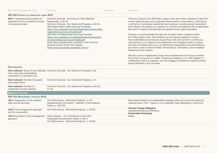| <b>DISCLOSURE NUMBER AND TITLE</b>                                                                    | <b>LOCATION</b>                                                                                                                                                                                                                                                                                                                                                                                                                                                                                                                                                 | <b>OMISSION</b> | <b>RATIONALE</b>                                                                                                                                                                                                                                                                                                                                                                                                                                                                                                                                                                                                                                                                                                                                                                                                                                                                                                                                                                                                                                                                                                                                                                                                                              |
|-------------------------------------------------------------------------------------------------------|-----------------------------------------------------------------------------------------------------------------------------------------------------------------------------------------------------------------------------------------------------------------------------------------------------------------------------------------------------------------------------------------------------------------------------------------------------------------------------------------------------------------------------------------------------------------|-----------------|-----------------------------------------------------------------------------------------------------------------------------------------------------------------------------------------------------------------------------------------------------------------------------------------------------------------------------------------------------------------------------------------------------------------------------------------------------------------------------------------------------------------------------------------------------------------------------------------------------------------------------------------------------------------------------------------------------------------------------------------------------------------------------------------------------------------------------------------------------------------------------------------------------------------------------------------------------------------------------------------------------------------------------------------------------------------------------------------------------------------------------------------------------------------------------------------------------------------------------------------------|
| GRI 409: FORCED OR COMPULSORY LABOR 2016                                                              |                                                                                                                                                                                                                                                                                                                                                                                                                                                                                                                                                                 |                 |                                                                                                                                                                                                                                                                                                                                                                                                                                                                                                                                                                                                                                                                                                                                                                                                                                                                                                                                                                                                                                                                                                                                                                                                                                               |
| 409-1: Operations and suppliers at<br>significant risk for incidents of forced<br>or compulsory labor | Common Grounds - Sourcing our Raw Materials<br>Responsibly, p.46-49<br>Common Grounds - Our Goals and Progress, p.50-59<br>JDE Responsible Coffee Sourcing Principles:<br>https://www.jdepeets.com/siteassets/documents/coffee-<br>responsible-sourcing-principles.pdf<br>JDE Palm Oil Responsible Sourcing Principles:<br>https://www.jdepeets.com/siteassets/documents/palm-<br>oil-responsible-sourcing-principles.pdf<br>Origin Issue Assessments, available in the Common<br>Grounds section of the JDE website:<br>https://www.jacobsdouweegberts.com/cr/ |                 | There is no place in the JDE Peet's supply chain and further upstream at farms for<br>human rights abuses such as (gender) discrimination, forced labour, child labour,<br>or all forms of workplace harassment and violence, including sexual harassment<br>and violence. We require our suppliers to commit to compliance with all applicable<br>laws and to respect internationally recognized human rights standards.<br>However, we acknowledge the high risk of certain labour violations within<br>the coffee supply chain, and therefore we will require suppliers to ensure<br>that smallholders and producer groups they work with commit to continuous<br>improvement, put a rigorous risk assessment and mitigation system in place,<br>and take immediate action (e.g. by alerting the responsible local authorities) on<br>any known cases of discrimination, forced labour, child labour, and workplace<br>harassment and violence.<br>We also conduct independent Origin Issue Assessments for the key countries<br>from which we source our coffee. (These are available on our JDE website.) In<br>collaboration with our suppliers, we then engage to address the specific priority<br>issues identified in the countries. |
| <b>OWN INDICATOR</b>                                                                                  |                                                                                                                                                                                                                                                                                                                                                                                                                                                                                                                                                                 |                 |                                                                                                                                                                                                                                                                                                                                                                                                                                                                                                                                                                                                                                                                                                                                                                                                                                                                                                                                                                                                                                                                                                                                                                                                                                               |
| with a 3rd-party sustainability<br>certification or verification (%)                                  | Own indicator: Share of raw materials Common Grounds - Our Goals and Progress, p.50                                                                                                                                                                                                                                                                                                                                                                                                                                                                             |                 |                                                                                                                                                                                                                                                                                                                                                                                                                                                                                                                                                                                                                                                                                                                                                                                                                                                                                                                                                                                                                                                                                                                                                                                                                                               |
| Own indicator: Number of supplier<br>self-assessments                                                 | Common Grounds - Our Goals and Progress, p.51                                                                                                                                                                                                                                                                                                                                                                                                                                                                                                                   |                 |                                                                                                                                                                                                                                                                                                                                                                                                                                                                                                                                                                                                                                                                                                                                                                                                                                                                                                                                                                                                                                                                                                                                                                                                                                               |
| <b>Own indicator: Number of</b><br>smallholder farmers reached                                        | Common Grounds - Our Goals and Progress, p.50 & p.<br>57-59                                                                                                                                                                                                                                                                                                                                                                                                                                                                                                     |                 |                                                                                                                                                                                                                                                                                                                                                                                                                                                                                                                                                                                                                                                                                                                                                                                                                                                                                                                                                                                                                                                                                                                                                                                                                                               |
| <b>MINIMISED FOOTPRINT</b>                                                                            |                                                                                                                                                                                                                                                                                                                                                                                                                                                                                                                                                                 |                 |                                                                                                                                                                                                                                                                                                                                                                                                                                                                                                                                                                                                                                                                                                                                                                                                                                                                                                                                                                                                                                                                                                                                                                                                                                               |
| <b>GRI 103: MANAGEMENT APPROACH 2018</b>                                                              |                                                                                                                                                                                                                                                                                                                                                                                                                                                                                                                                                                 |                 |                                                                                                                                                                                                                                                                                                                                                                                                                                                                                                                                                                                                                                                                                                                                                                                                                                                                                                                                                                                                                                                                                                                                                                                                                                               |
| <b>103-1:</b> Explanation of the material<br>topic and its boundary                                   | Our Performance - Minimised Footprint, p. 60<br>Supplementary Information - Definition of the Material<br>Topics, p. 253-255                                                                                                                                                                                                                                                                                                                                                                                                                                    |                 | Minimised Footrpint is a sustainability strategic pillar and covers the following<br>material topics. (Tier 1 topics on our materiality map highlighted in bold font.)                                                                                                                                                                                                                                                                                                                                                                                                                                                                                                                                                                                                                                                                                                                                                                                                                                                                                                                                                                                                                                                                        |
| 103-2: The management approach<br>and its components                                                  | Our Performance - Minimised Footprint, p. 60-65                                                                                                                                                                                                                                                                                                                                                                                                                                                                                                                 |                 | <b>Climate Change Mitigation</b><br><b>Operational Resource Efficiency</b><br><b>Sustainable Packaging</b>                                                                                                                                                                                                                                                                                                                                                                                                                                                                                                                                                                                                                                                                                                                                                                                                                                                                                                                                                                                                                                                                                                                                    |
| 103-3: Evaluation of the management<br>approach                                                       | Value Creation - Our Contribution to the UN's<br>Sustainable Development Goals, p. 38-41<br>Our Performance - Minimised Footprint, p. 60-65                                                                                                                                                                                                                                                                                                                                                                                                                     |                 | Waste                                                                                                                                                                                                                                                                                                                                                                                                                                                                                                                                                                                                                                                                                                                                                                                                                                                                                                                                                                                                                                                                                                                                                                                                                                         |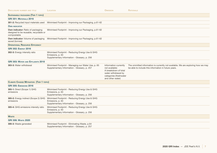| <b>DISCLOSURE NUMBER AND TITLE</b>                                                         | LOCATION                                                                                                            | <b>OMISSION</b>                                                                                                                      | <b>RATIONALE</b>                                                                                                                         |
|--------------------------------------------------------------------------------------------|---------------------------------------------------------------------------------------------------------------------|--------------------------------------------------------------------------------------------------------------------------------------|------------------------------------------------------------------------------------------------------------------------------------------|
| <b>SUSTAINABLE PACKAGING (TIER 1 TOPIC)</b>                                                |                                                                                                                     |                                                                                                                                      |                                                                                                                                          |
| <b>GRI 301: MATERIALS 2016</b>                                                             |                                                                                                                     |                                                                                                                                      |                                                                                                                                          |
| 301-2: Recycled input materials used                                                       | Minimised Footprint - Improving our Packaging, p.61-62                                                              |                                                                                                                                      |                                                                                                                                          |
| <b>OWN INDICATOR</b>                                                                       |                                                                                                                     |                                                                                                                                      |                                                                                                                                          |
| Own indicator: Ratio of packaging<br>designed to be reusable, recyclable or<br>compostable | Minimised Footprint - Improving our Packaging, p.61-62                                                              |                                                                                                                                      |                                                                                                                                          |
| Own indicator: Volume of packaging<br>saved (tonnes)                                       | Minimised Footprint - Improving our Packaging, p.61-62                                                              |                                                                                                                                      |                                                                                                                                          |
| <b>OPERATIONAL RESOURCE EFFICIENCY</b>                                                     |                                                                                                                     |                                                                                                                                      |                                                                                                                                          |
| <b>GRI 302: ENERGY 2016</b>                                                                |                                                                                                                     |                                                                                                                                      |                                                                                                                                          |
| 302-3: Energy intensity ratio                                                              | Minimised Footprint - Reducing Energy Use & GHG<br>Emissions, p. 63<br>Supplementary Information - Glossary, p. 256 |                                                                                                                                      |                                                                                                                                          |
| <b>GRI 303: WATER AND EFFLUENTS 2018</b>                                                   |                                                                                                                     |                                                                                                                                      |                                                                                                                                          |
| 303-3: Water withdrawal                                                                    | Minimised Footprint - Managing our Water Use, p. 65<br>Supplementary Information - Glossary, p. 257                 | Information currently<br>not available:<br>A breakdown of total<br>water withdrawal by<br>categories (freshwater<br>and other water) | The ommitted information is currently not available. We are exploring how we may<br>be able to include this information in future years. |
| <b>CLIMATE CHANGE MITIGATION (TIER 1 TOPIC)</b>                                            |                                                                                                                     |                                                                                                                                      |                                                                                                                                          |
| <b>GRI 305: EMISSIONS 2016</b>                                                             |                                                                                                                     |                                                                                                                                      |                                                                                                                                          |
| 305-1: Direct (Scope 1) GHG<br>emissions                                                   | Minimised Footprint - Reducing Energy Use & GHG<br>Emissions, p. 63<br>Supplementary Information - Glossary, p. 256 |                                                                                                                                      |                                                                                                                                          |
| 305-2: Energy indirect (Scope 2) GHG<br>emissions                                          | Minimised Footprint - Reducing Energy Use & GHG<br>Emissions, p. 63<br>Supplementary Information - Glossary, p. 256 |                                                                                                                                      |                                                                                                                                          |
| 305-4: GHG emissions intensity ratio                                                       | Minimised Footprint - Reducing Energy Use & GHG<br>Emissions, p. 63<br>Supplementary Information - Glossary, p. 256 |                                                                                                                                      |                                                                                                                                          |
| <b>WASTE</b>                                                                               |                                                                                                                     |                                                                                                                                      |                                                                                                                                          |
| <b>GRI 306: WASTE 2020</b>                                                                 |                                                                                                                     |                                                                                                                                      |                                                                                                                                          |
| 306-3: Waste generated                                                                     | Minimised Footprint - Eliminating Waste, p.64<br>Supplementary Information - Glossary, p. 257                       |                                                                                                                                      |                                                                                                                                          |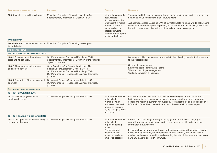| <b>DISCLOSURE NUMBER AND TITLE</b>                           | <b>LOCATION</b>                                                                                                                                                                                           | <b>OMISSION</b>                                                                                                                                                                                       | <b>RATIONALE</b>                                                                                                                                                                                                                                                                                                                                                                                                                                                                                    |
|--------------------------------------------------------------|-----------------------------------------------------------------------------------------------------------------------------------------------------------------------------------------------------------|-------------------------------------------------------------------------------------------------------------------------------------------------------------------------------------------------------|-----------------------------------------------------------------------------------------------------------------------------------------------------------------------------------------------------------------------------------------------------------------------------------------------------------------------------------------------------------------------------------------------------------------------------------------------------------------------------------------------------|
| 306-4: Waste diverted from disposal                          | Minimised Footprint - Eliminating Waste, p.64<br>Supplementary Information - Glossary, p. 257                                                                                                             | Information currently<br>not available:<br>A breakdown of the<br>total weight in metric<br>tons of hazardous<br>waste and of non-<br>hazardous waste<br>diverted from disposal<br>onsite and offsite. | The ommitted information is currently not available. We are exploring how we may<br>be able to include this information in future years.<br>As hazardous waste makes up <1% of our total waste volumes, we do not present<br>waste diverted from disposal separately in the Annual Report. In 2020, 40% of our<br>hazardous waste was diverted from disposal and went into recycling.                                                                                                               |
| <b>OWN INDICATOR</b>                                         |                                                                                                                                                                                                           |                                                                                                                                                                                                       |                                                                                                                                                                                                                                                                                                                                                                                                                                                                                                     |
| to landfill sites                                            | Own indicator: Number of zero waste Minimised Footprint - Eliminating Waste, p.64                                                                                                                         |                                                                                                                                                                                                       |                                                                                                                                                                                                                                                                                                                                                                                                                                                                                                     |
| <b>CONNECTED PEOPLE</b>                                      |                                                                                                                                                                                                           |                                                                                                                                                                                                       |                                                                                                                                                                                                                                                                                                                                                                                                                                                                                                     |
| GRI 103: MANAGEMENT APPROACH 2019                            |                                                                                                                                                                                                           |                                                                                                                                                                                                       |                                                                                                                                                                                                                                                                                                                                                                                                                                                                                                     |
| 103-1: Explanation of the material<br>topic and its boundary | Our Performance - Connected People, p. 66-72<br>Supplementary Information - Definition of the Material<br>Topics, p. 253-255                                                                              |                                                                                                                                                                                                       | We apply a unified management approach to the following material topics relevant<br>to the strategic pillar.                                                                                                                                                                                                                                                                                                                                                                                        |
| 103-2: The management approach<br>and its components         | Value Creation - Our Contribution to the UN's<br>Sustainable Development Goals, p. 38-41<br>Our Performance - Connected People, p. 66-72<br>Our Performance - Responsible Business Practices,<br>p. 78-79 |                                                                                                                                                                                                       | Community engagement<br>Employee health, safety & well-being<br>Talent and employee engagement<br>Workplace diversity & inclusion                                                                                                                                                                                                                                                                                                                                                                   |
| 103-3: Evaluation of the management<br>approach              | Connected People - Growing our Talent, p. 69<br>Our Performance - Responsible Business Practices,<br>p. 78-79                                                                                             |                                                                                                                                                                                                       |                                                                                                                                                                                                                                                                                                                                                                                                                                                                                                     |
| <b>TALENT AND EMPLOYEE ENGAGEMENT</b>                        |                                                                                                                                                                                                           |                                                                                                                                                                                                       |                                                                                                                                                                                                                                                                                                                                                                                                                                                                                                     |
| GRI 401: EMPLOYMENT 2016                                     |                                                                                                                                                                                                           |                                                                                                                                                                                                       |                                                                                                                                                                                                                                                                                                                                                                                                                                                                                                     |
| 401-1: New employee hires and<br>employee turnover           | Connected People - Growing our Talent, p. 69                                                                                                                                                              | Information currently<br>not available:<br>A breakdown of<br>employee hires and<br>employee turnover<br>by age group, gender<br>and region                                                            | As a result of the introduction of a new HR software (see 'About this report', p.<br>255) information on new employee hires and employee turnover by age group,<br>gender and region is currently not available. We expect to be able to disclose this<br>information for entities covered by the new HR software in our next report.                                                                                                                                                               |
| <b>GRI 404: TRAINING AND EDUCATION 2016</b>                  |                                                                                                                                                                                                           |                                                                                                                                                                                                       |                                                                                                                                                                                                                                                                                                                                                                                                                                                                                                     |
| management system                                            | 404-1: Occupational health and safety Connected People - Growing our Talent, p. 69                                                                                                                        | Information currently<br>not available:<br>In-person training<br>hours<br>A breakdown of<br>average training<br>hours by gender or<br>employee category                                               | A breakdown of average training hours by gender or employee category is<br>currently not available. We are exploring how we may be able to include this<br>information in future years.<br>In-person training hours, in particular for those employees without access to our<br>online learning platform, are currently not tracked centrally. We do not have a<br>mechanism in place for tracking and reporting this at a global level, and we do not<br>have any plans to collect this in future. |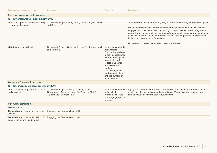| <b>DISCLOSURE NUMBER AND TITLE</b>                                                | LOCATION                                                                                                                                                              | <b>OMISSION</b>                                                                                                                                                                                                                                  | <b>RATIONALE</b>                                                                                                                                                                                                                                                                                                                                                                                                                                                                                                                    |
|-----------------------------------------------------------------------------------|-----------------------------------------------------------------------------------------------------------------------------------------------------------------------|--------------------------------------------------------------------------------------------------------------------------------------------------------------------------------------------------------------------------------------------------|-------------------------------------------------------------------------------------------------------------------------------------------------------------------------------------------------------------------------------------------------------------------------------------------------------------------------------------------------------------------------------------------------------------------------------------------------------------------------------------------------------------------------------------|
| <b>EMPLOYEE HEALTH, SAFETY &amp; WELL-BEING</b>                                   |                                                                                                                                                                       |                                                                                                                                                                                                                                                  |                                                                                                                                                                                                                                                                                                                                                                                                                                                                                                                                     |
| <b>GRI 403: OCCUPATIONAL HEALTH &amp; SAFETY 2018</b>                             |                                                                                                                                                                       |                                                                                                                                                                                                                                                  |                                                                                                                                                                                                                                                                                                                                                                                                                                                                                                                                     |
| management system                                                                 | 403-1: Occupational health and safety Connected People - Safeguarding our Employees' Health<br>and Safety, p. 71                                                      |                                                                                                                                                                                                                                                  | Total Recordable Incidents Rate (TRIR) is used for calculating work-related injuries<br>We are centrally tracking TRIR across the employees and workers who are not<br>emplyees in consolidated form. Accordingly, a split between these categories is<br>currently not available. We currently also do not centrally track high-consequence<br>work-related injuries as defined by GRI. We are exploring how we may be able to<br>include this information in future years.<br>No workers have been excluded from our disclosures. |
| 403-9: Work-related injuries                                                      | Connected People - Safeguarding our Employees' Health Information currently<br>and Safety, p. 71                                                                      | not available:<br>The number and rate<br>of high-consequence<br>work-related injuries,<br>recordable work-<br>related injuries for<br>employees and<br>workers<br>The main types of<br>work-related injury<br>and the number of<br>hours worked. |                                                                                                                                                                                                                                                                                                                                                                                                                                                                                                                                     |
| <b>WORKPLACE DIVERSITY &amp; INCLUSION</b>                                        |                                                                                                                                                                       |                                                                                                                                                                                                                                                  |                                                                                                                                                                                                                                                                                                                                                                                                                                                                                                                                     |
| <b>GRI 405: DIVERSITY AND EQUAL OPPORTUNITY 2016</b>                              |                                                                                                                                                                       |                                                                                                                                                                                                                                                  |                                                                                                                                                                                                                                                                                                                                                                                                                                                                                                                                     |
| and employees                                                                     | 405-1: Diversity of governance bodies Connected People - Valuing Diversity, p. 70<br>Governance - Composition of the Board, p. 88-92<br>Governance - Diversity, p. 95 | Information currently<br>not available:<br>A breakdown ratio<br>of the age groups for<br>employees                                                                                                                                               | Age group is currently not tracked as indicator for diversity at JDE Peet's. As a<br>result, the information is currently unavailable. We are exploring how we may be<br>able to include this information in future years.                                                                                                                                                                                                                                                                                                          |
| <b>COMMUNITY ENGAGEMENT</b>                                                       |                                                                                                                                                                       |                                                                                                                                                                                                                                                  |                                                                                                                                                                                                                                                                                                                                                                                                                                                                                                                                     |
| <b>OWN INDICATOR</b>                                                              |                                                                                                                                                                       |                                                                                                                                                                                                                                                  |                                                                                                                                                                                                                                                                                                                                                                                                                                                                                                                                     |
| Own indicator: Number of community Engaging our Communities, p. 66<br>initiatives |                                                                                                                                                                       |                                                                                                                                                                                                                                                  |                                                                                                                                                                                                                                                                                                                                                                                                                                                                                                                                     |
| <b>Own indicator:</b> Number of million of<br>cups of coffee and tea donated      | Engaging our Communities, p. 66                                                                                                                                       |                                                                                                                                                                                                                                                  |                                                                                                                                                                                                                                                                                                                                                                                                                                                                                                                                     |